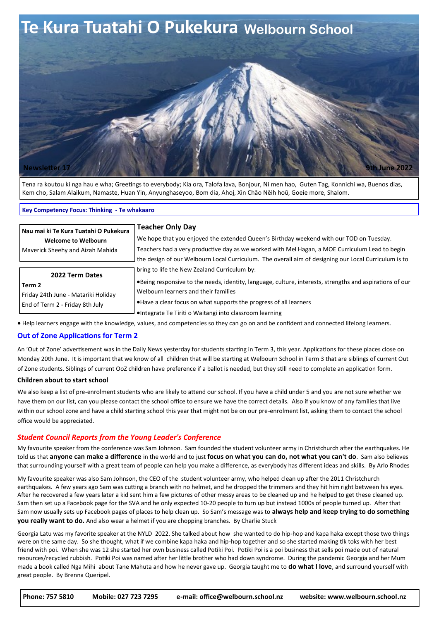

Tena ra koutou ki nga hau e wha; Greetings to everybody; Kia ora, Talofa lava, Bonjour, Ni men hao, Guten Tag, Konnichi wa, Buenos dias, Kem cho, Salam Alaikum, Namaste, Huan Yin, Anyunghaseyoo, Bom dia, Ahoj, Xin Chāo Nēih hoū, Goeie more, Shalom.

#### **Key Competency Focus: Thinking - Te whakaaro**

| Nau mai ki Te Kura Tuatahi O Pukekura                                                                                                   | <b>Teacher Only Day</b>                                                                                  |
|-----------------------------------------------------------------------------------------------------------------------------------------|----------------------------------------------------------------------------------------------------------|
| <b>Welcome to Welbourn</b>                                                                                                              | We hope that you enjoyed the extended Queen's Birthday weekend with our TOD on Tuesday.                  |
| Maverick Sheehy and Aizah Mahida                                                                                                        | Teachers had a very productive day as we worked with Mel Hagan, a MOE Curriculum Lead to begin           |
|                                                                                                                                         | the design of our Welbourn Local Curriculum. The overall aim of designing our Local Curriculum is to     |
| 2022 Term Dates                                                                                                                         | bring to life the New Zealand Curriculum by:                                                             |
| Term 2                                                                                                                                  | •Being responsive to the needs, identity, language, culture, interests, strengths and aspirations of our |
| Friday 24th June - Matariki Holiday                                                                                                     | Welbourn learners and their families                                                                     |
| End of Term 2 - Friday 8th July                                                                                                         | • Have a clear focus on what supports the progress of all learners                                       |
|                                                                                                                                         | •Integrate Te Tiriti o Waitangi into classroom learning                                                  |
| • Help learners engage with the knowledge, values, and competencies so they can go on and be confident and connected lifelong learners. |                                                                                                          |

### **Out of Zone Applications for Term 2**

An 'Out of Zone' advertisement was in the Daily News yesterday for students starting in Term 3, this year. Applications for these places close on Monday 20th June. It is important that we know of all children that will be starting at Welbourn School in Term 3 that are siblings of current Out of Zone students. Siblings of current OoZ children have preference if a ballot is needed, but they still need to complete an application form.

### **Children about to start school**

We also keep a list of pre-enrolment students who are likely to attend our school. If you have a child under 5 and you are not sure whether we have them on our list, can you please contact the school office to ensure we have the correct details. Also if you know of any families that live within our school zone and have a child starting school this year that might not be on our pre-enrolment list, asking them to contact the school office would be appreciated.

### *Student Council Reports from the Young Leader's Conference*

My favourite speaker from the conference was Sam Johnson. Sam founded the student volunteer army in Christchurch after the earthquakes. He told us that **anyone can make a difference** in the world and to just **focus on what you can do, not what you can't do**. Sam also believes that surrounding yourself with a great team of people can help you make a difference, as everybody has different ideas and skills. By Arlo Rhodes

My favourite speaker was also Sam Johnson, the CEO of the student volunteer army, who helped clean up after the 2011 Christchurch earthquakes. A few years ago Sam was cutting a branch with no helmet, and he dropped the trimmers and they hit him right between his eyes. After he recovered a few years later a kid sent him a few pictures of other messy areas to be cleaned up and he helped to get these cleaned up. Sam then set up a Facebook page for the SVA and he only expected 10-20 people to turn up but instead 1000s of people turned up. After that Sam now usually sets up Facebook pages of places to help clean up. So Sam's message was to **always help and keep trying to do something you really want to do.** And also wear a helmet if you are chopping branches. By Charlie Stuck

Georgia Latu was my favorite speaker at the NYLD 2022. She talked about how she wanted to do hip-hop and kapa haka except those two things were on the same day. So she thought, what if we combine kapa haka and hip-hop together and so she started making tik toks with her best friend with poi. When she was 12 she started her own business called Potiki Poi. Potiki Poi is a poi business that sells poi made out of natural resources/recycled rubbish. Potiki Poi was named after her little brother who had down syndrome. During the pandemic Georgia and her Mum made a book called Nga Mihi about Tane Mahuta and how he never gave up. Georgia taught me to **do what I love**, and surround yourself with great people. By Brenna Queripel.